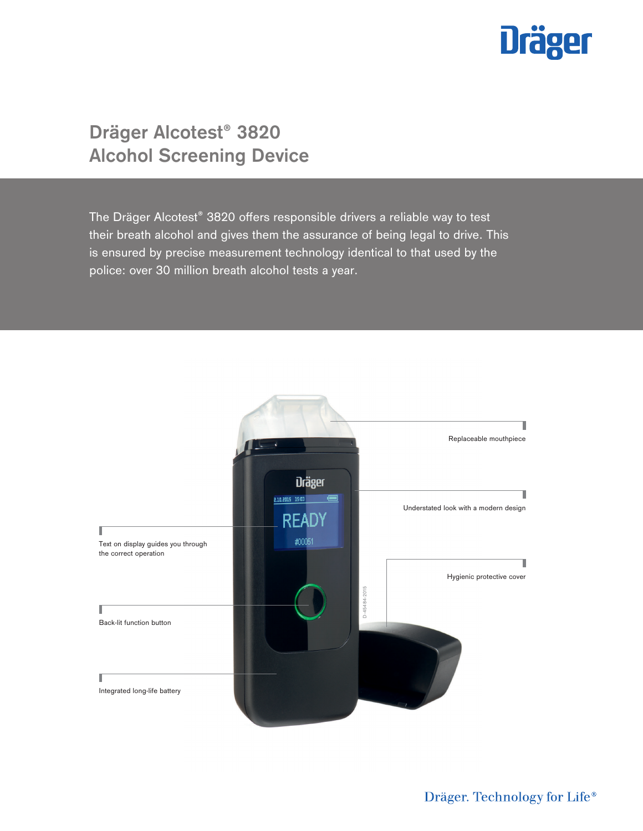

# **Dräger Alcotest® 3820 Alcohol Screening Device**

The Dräger Alcotest® 3820 offers responsible drivers a reliable way to test their breath alcohol and gives them the assurance of being legal to drive. This is ensured by precise measurement technology identical to that used by the police: over 30 million breath alcohol tests a year.

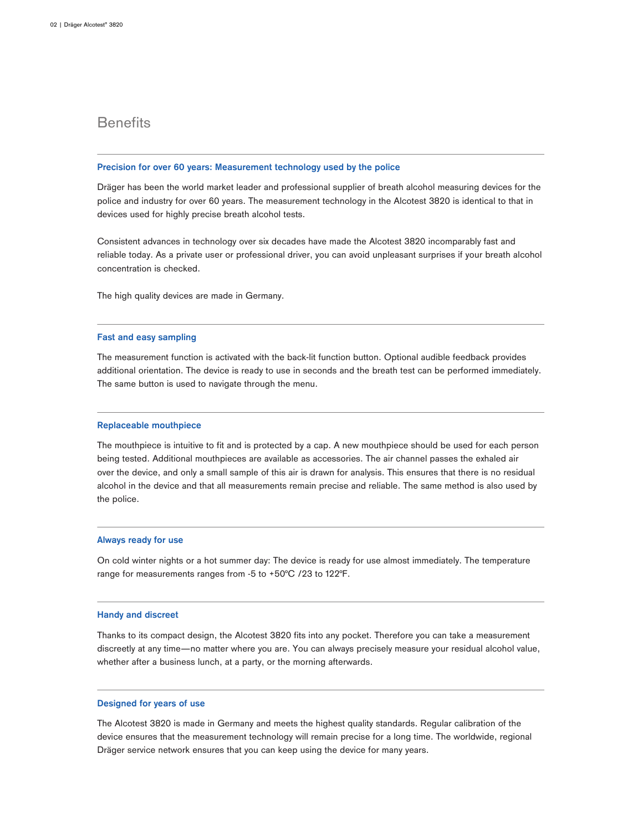### **Benefits**

#### **Precision for over 60 years: Measurement technology used by the police**

Dräger has been the world market leader and professional supplier of breath alcohol measuring devices for the police and industry for over 60 years. The measurement technology in the Alcotest 3820 is identical to that in devices used for highly precise breath alcohol tests.

Consistent advances in technology over six decades have made the Alcotest 3820 incomparably fast and reliable today. As a private user or professional driver, you can avoid unpleasant surprises if your breath alcohol concentration is checked.

The high quality devices are made in Germany.

#### **Fast and easy sampling**

The measurement function is activated with the back-lit function button. Optional audible feedback provides additional orientation. The device is ready to use in seconds and the breath test can be performed immediately. The same button is used to navigate through the menu.

#### **Replaceable mouthpiece**

The mouthpiece is intuitive to fit and is protected by a cap. A new mouthpiece should be used for each person being tested. Additional mouthpieces are available as accessories. The air channel passes the exhaled air over the device, and only a small sample of this air is drawn for analysis. This ensures that there is no residual alcohol in the device and that all measurements remain precise and reliable. The same method is also used by the police.

#### **Always ready for use**

On cold winter nights or a hot summer day: The device is ready for use almost immediately. The temperature range for measurements ranges from -5 to +50°C /23 to 122°F.

#### **Handy and discreet**

Thanks to its compact design, the Alcotest 3820 fits into any pocket. Therefore you can take a measurement discreetly at any time—no matter where you are. You can always precisely measure your residual alcohol value, whether after a business lunch, at a party, or the morning afterwards.

#### **Designed for years of use**

The Alcotest 3820 is made in Germany and meets the highest quality standards. Regular calibration of the device ensures that the measurement technology will remain precise for a long time. The worldwide, regional Dräger service network ensures that you can keep using the device for many years.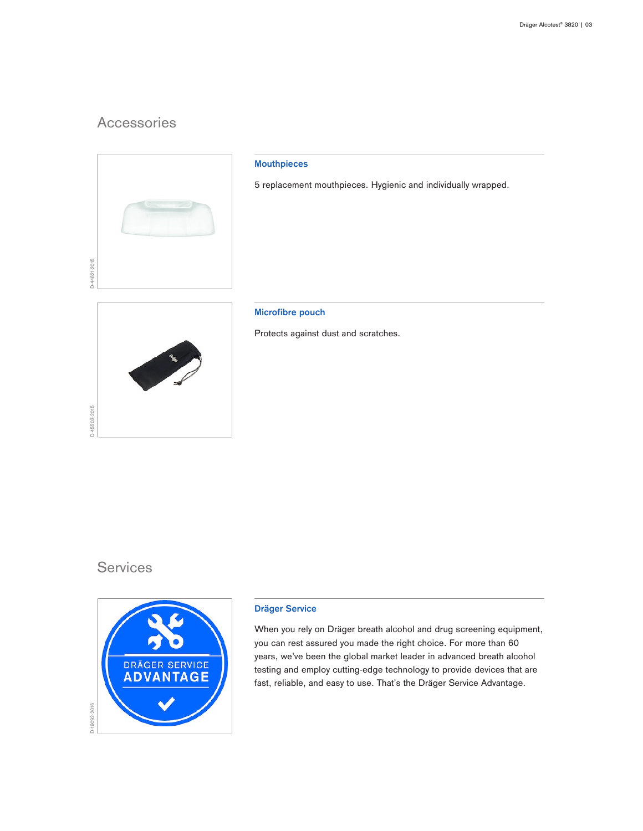## Accessories



#### **Mouthpieces**

5 replacement mouthpieces. Hygienic and individually wrapped.

D-45503-2015

#### **Microfibre pouch**

Protects against dust and scratches.

### **Services**



#### **Dräger Service**

When you rely on Dräger breath alcohol and drug screening equipment, you can rest assured you made the right choice. For more than 60 years, we've been the global market leader in advanced breath alcohol testing and employ cutting-edge technology to provide devices that are fast, reliable, and easy to use. That's the Dräger Service Advantage.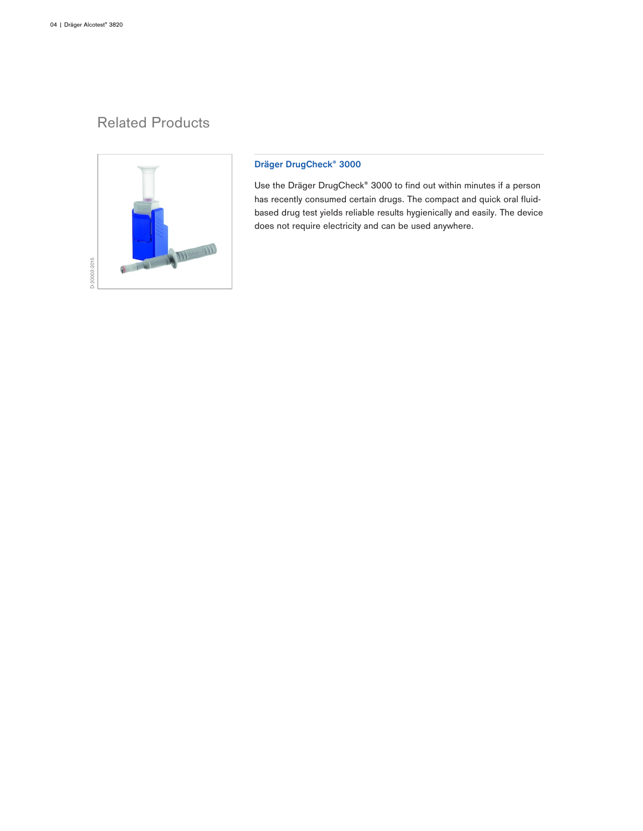## Related Products



#### **Dräger DrugCheck® 3000**

Use the Dräger DrugCheck® 3000 to find out within minutes if a person has recently consumed certain drugs. The compact and quick oral fluidbased drug test yields reliable results hygienically and easily. The device does not require electricity and can be used anywhere.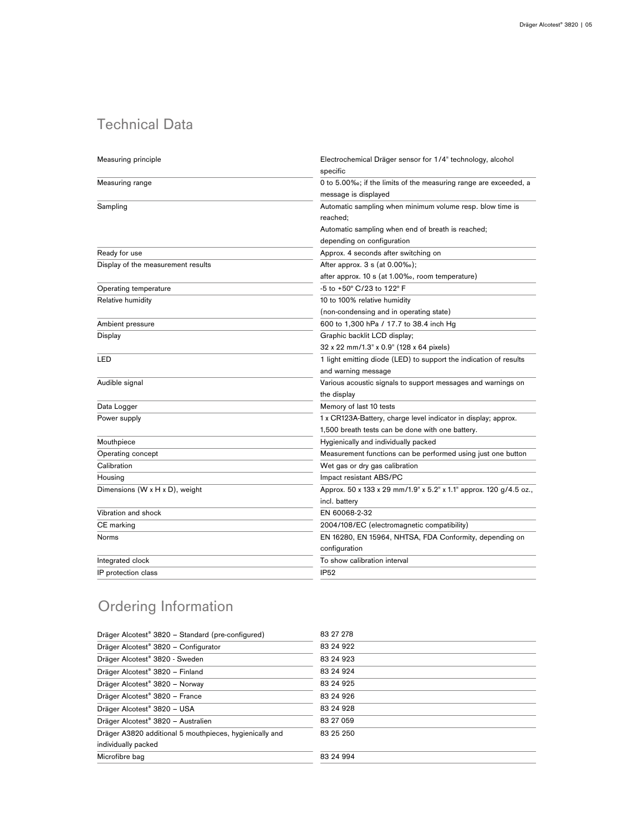# Technical Data

| Measuring principle                | Electrochemical Dräger sensor for 1/4" technology, alcohol<br>specific |
|------------------------------------|------------------------------------------------------------------------|
| Measuring range                    | 0 to 5.00‰; if the limits of the measuring range are exceeded, a       |
|                                    | message is displayed                                                   |
| Sampling                           | Automatic sampling when minimum volume resp. blow time is<br>reached;  |
|                                    | Automatic sampling when end of breath is reached;                      |
|                                    | depending on configuration                                             |
| Ready for use                      | Approx. 4 seconds after switching on                                   |
| Display of the measurement results | After approx. 3 s (at 0.00%);                                          |
|                                    | after approx. 10 s (at 1.00%, room temperature)                        |
| Operating temperature              | -5 to +50° C/23 to 122° F                                              |
| Relative humidity                  | 10 to 100% relative humidity                                           |
|                                    | (non-condensing and in operating state)                                |
| Ambient pressure                   | 600 to 1,300 hPa / 17.7 to 38.4 inch Hg                                |
| Display                            | Graphic backlit LCD display;                                           |
|                                    | 32 x 22 mm/1.3" x 0.9" (128 x 64 pixels)                               |
| LED                                | 1 light emitting diode (LED) to support the indication of results      |
|                                    | and warning message                                                    |
| Audible signal                     | Various acoustic signals to support messages and warnings on           |
|                                    | the display                                                            |
| Data Logger                        | Memory of last 10 tests                                                |
| Power supply                       | 1 x CR123A-Battery, charge level indicator in display; approx.         |
|                                    | 1,500 breath tests can be done with one battery.                       |
| Mouthpiece                         | Hygienically and individually packed                                   |
| Operating concept                  | Measurement functions can be performed using just one button           |
| Calibration                        | Wet gas or dry gas calibration                                         |
| Housing                            | Impact resistant ABS/PC                                                |
| Dimensions (W x H x D), weight     | Approx. 50 x 133 x 29 mm/1.9" x 5.2" x 1.1" approx. 120 g/4.5 oz.,     |
|                                    | incl. battery                                                          |
| Vibration and shock                | EN 60068-2-32                                                          |
| CE marking                         | 2004/108/EC (electromagnetic compatibility)                            |
| Norms                              | EN 16280, EN 15964, NHTSA, FDA Conformity, depending on                |
|                                    | configuration                                                          |
| Integrated clock                   | To show calibration interval                                           |
| IP protection class                | IP <sub>52</sub>                                                       |
|                                    |                                                                        |

# Ordering Information

| Dräger Alcotest <sup>®</sup> 3820 – Standard (pre-configured) | 83 27 278  |
|---------------------------------------------------------------|------------|
| Dräger Alcotest <sup>®</sup> 3820 - Configurator              | 83 24 9 22 |
| Dräger Alcotest® 3820 - Sweden                                | 83 24 9 23 |
| Dräger Alcotest® 3820 - Finland                               | 83 24 9 24 |
| Dräger Alcotest® 3820 - Norway                                | 83 24 9 25 |
| Dräger Alcotest <sup>®</sup> 3820 - France                    | 83 24 9 26 |
| Dräger Alcotest® 3820 - USA                                   | 83 24 9 28 |
| Dräger Alcotest <sup>®</sup> 3820 - Australien                | 83 27 059  |
| Dräger A3820 additional 5 mouthpieces, hygienically and       | 83 25 250  |
| individually packed                                           |            |
| Microfibre bag                                                | 83 24 994  |